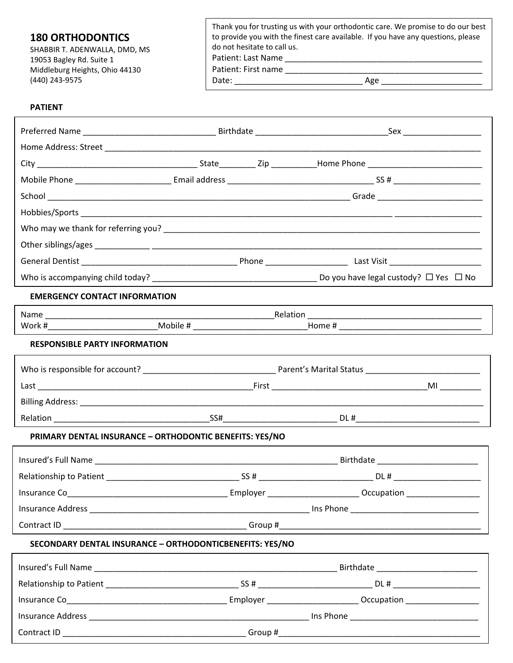| <b>180 ORTHODONTICS</b>        | Thank you for trusting us with your orthodontic care. We promise to do our best<br>to provide you with the finest care available. If you have any questions, please |  |
|--------------------------------|---------------------------------------------------------------------------------------------------------------------------------------------------------------------|--|
| SHABBIR T. ADENWALLA, DMD, MS  | do not hesitate to call us.                                                                                                                                         |  |
| 19053 Bagley Rd. Suite 1       | Patient: Last Name                                                                                                                                                  |  |
| Middleburg Heights, Ohio 44130 | Patient: First name                                                                                                                                                 |  |
| (440) 243-9575                 | Date:<br>Age                                                                                                                                                        |  |

## **PATIENT**

| <b>EMERGENCY CONTACT INFORMATION</b>                     |                                                                                                                |                                        |  |  |  |
|----------------------------------------------------------|----------------------------------------------------------------------------------------------------------------|----------------------------------------|--|--|--|
|                                                          |                                                                                                                |                                        |  |  |  |
|                                                          | Work #________________________________Mobile # _________________________________Home # _______________________ |                                        |  |  |  |
| <b>RESPONSIBLE PARTY INFORMATION</b>                     |                                                                                                                |                                        |  |  |  |
|                                                          |                                                                                                                |                                        |  |  |  |
|                                                          |                                                                                                                |                                        |  |  |  |
|                                                          |                                                                                                                |                                        |  |  |  |
|                                                          |                                                                                                                |                                        |  |  |  |
| PRIMARY DENTAL INSURANCE - ORTHODONTIC BENEFITS: YES/NO  |                                                                                                                |                                        |  |  |  |
|                                                          |                                                                                                                |                                        |  |  |  |
|                                                          |                                                                                                                |                                        |  |  |  |
| Insurance Co <b>Security</b> Security 1996               |                                                                                                                | Decupation _______                     |  |  |  |
|                                                          |                                                                                                                |                                        |  |  |  |
|                                                          |                                                                                                                |                                        |  |  |  |
| SECONDARY DENTAL INSURANCE - ORTHODONTICBENEFITS: YES/NO |                                                                                                                |                                        |  |  |  |
|                                                          |                                                                                                                | Birthdate ____________________________ |  |  |  |
|                                                          |                                                                                                                |                                        |  |  |  |
|                                                          |                                                                                                                |                                        |  |  |  |
|                                                          |                                                                                                                |                                        |  |  |  |
|                                                          |                                                                                                                |                                        |  |  |  |